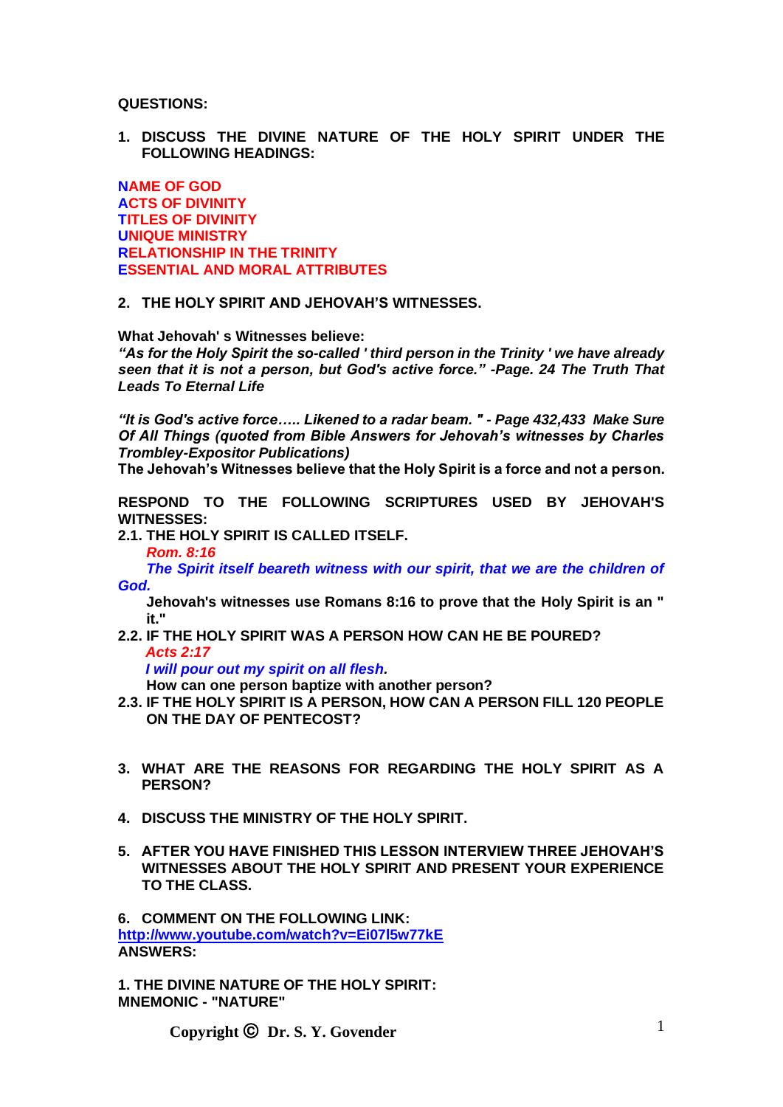**QUESTIONS:**

**1. DISCUSS THE DIVINE NATURE OF THE HOLY SPIRIT UNDER THE FOLLOWING HEADINGS:**

**NAME OF GOD ACTS OF DIVINITY TITLES OF DIVINITY UNIQUE MINISTRY RELATIONSHIP IN THE TRINITY ESSENTIAL AND MORAL ATTRIBUTES**

#### **2. THE HOLY SPIRIT AND JEHOVAH'S WITNESSES.**

**What Jehovah' s Witnesses believe:**

*"As for the Holy Spirit the so-called ' third person in the Trinity ' we have already seen that it is not a person, but God's active force." -Page. 24 The Truth That Leads To Eternal Life*

*"It is God's active force….. Likened to a radar beam. " - Page 432,433 Make Sure Of All Things (quoted from Bible Answers for Jehovah's witnesses by Charles Trombley-Expositor Publications)*

**The Jehovah's Witnesses believe that the Holy Spirit is a force and not a person.**

**RESPOND TO THE FOLLOWING SCRIPTURES USED BY JEHOVAH'S WITNESSES:**

**2.1. THE HOLY SPIRIT IS CALLED ITSELF.**

*Rom. 8:16*

*The Spirit itself beareth witness with our spirit, that we are the children of God.*

**Jehovah's witnesses use Romans 8:16 to prove that the Holy Spirit is an " it."**

**2.2. IF THE HOLY SPIRIT WAS A PERSON HOW CAN HE BE POURED?** *Acts 2:17*

*I will pour out my spirit on all flesh.*

**How can one person baptize with another person?**

- **2.3. IF THE HOLY SPIRIT IS A PERSON, HOW CAN A PERSON FILL 120 PEOPLE ON THE DAY OF PENTECOST?**
- **3. WHAT ARE THE REASONS FOR REGARDING THE HOLY SPIRIT AS A PERSON?**
- **4. DISCUSS THE MINISTRY OF THE HOLY SPIRIT.**
- **5. AFTER YOU HAVE FINISHED THIS LESSON INTERVIEW THREE JEHOVAH'S WITNESSES ABOUT THE HOLY SPIRIT AND PRESENT YOUR EXPERIENCE TO THE CLASS.**

**6. COMMENT ON THE FOLLOWING LINK: <http://www.youtube.com/watch?v=Ei07l5w77kE> ANSWERS:**

**1. THE DIVINE NATURE OF THE HOLY SPIRIT: MNEMONIC - "NATURE"**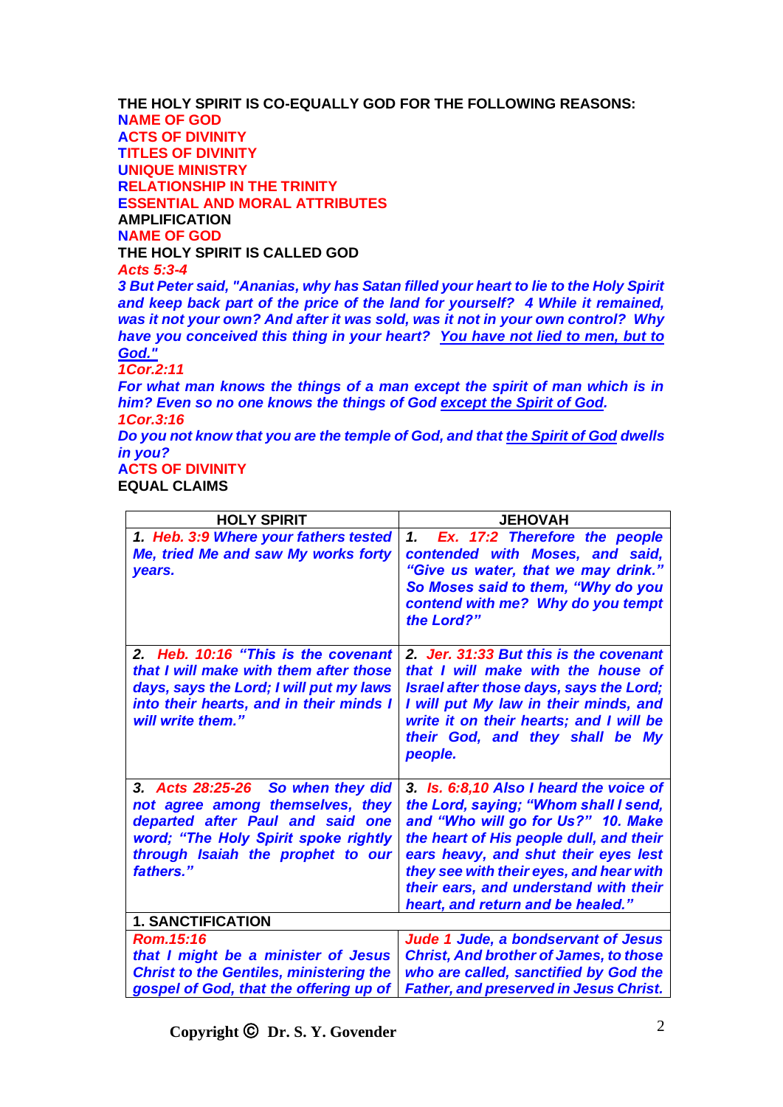**THE HOLY SPIRIT IS CO-EQUALLY GOD FOR THE FOLLOWING REASONS: NAME OF GOD ACTS OF DIVINITY TITLES OF DIVINITY UNIQUE MINISTRY RELATIONSHIP IN THE TRINITY ESSENTIAL AND MORAL ATTRIBUTES AMPLIFICATION NAME OF GOD THE HOLY SPIRIT IS CALLED GOD** *Acts 5:3-4 3 But Peter said, "Ananias, why has Satan filled your heart to lie to the Holy Spirit and keep back part of the price of the land for yourself? 4 While it remained, was it not your own? And after it was sold, was it not in your own control? Why have you conceived this thing in your heart? You have not lied to men, but to God." 1Cor.2:11 For what man knows the things of a man except the spirit of man which is in* 

*him? Even so no one knows the things of God except the Spirit of God. 1Cor.3:16*

*Do you not know that you are the temple of God, and that the Spirit of God dwells in you?*

**ACTS OF DIVINITY**

**EQUAL CLAIMS**

| <b>HOLY SPIRIT</b>                                                                                                                                                                                  | <b>JEHOVAH</b>                                                                                                                                                                                                                                                                                                                     |
|-----------------------------------------------------------------------------------------------------------------------------------------------------------------------------------------------------|------------------------------------------------------------------------------------------------------------------------------------------------------------------------------------------------------------------------------------------------------------------------------------------------------------------------------------|
| 1. Heb. 3:9 Where your fathers tested<br>Me, tried Me and saw My works forty<br>years.                                                                                                              | Ex. 17:2 Therefore the people<br>1.<br>contended with Moses, and said,<br>"Give us water, that we may drink."<br>So Moses said to them, "Why do you<br>contend with me? Why do you tempt<br>the Lord?"                                                                                                                             |
| 2. Heb. 10:16 "This is the covenant<br>that I will make with them after those<br>days, says the Lord; I will put my laws<br>into their hearts, and in their minds I<br>will write them."            | 2. Jer. 31:33 But this is the covenant<br>that I will make with the house of<br>Israel after those days, says the Lord;<br>I will put My law in their minds, and<br>write it on their hearts; and I will be<br>their God, and they shall be My<br>people.                                                                          |
| 3. Acts 28:25-26 So when they did<br>not agree among themselves, they<br>departed after Paul and said one<br>word; "The Holy Spirit spoke rightly<br>through Isaiah the prophet to our<br>fathers." | 3. Is. 6:8,10 Also I heard the voice of<br>the Lord, saying; "Whom shall I send,<br>and "Who will go for Us?" 10. Make<br>the heart of His people dull, and their<br>ears heavy, and shut their eyes lest<br>they see with their eyes, and hear with<br>their ears, and understand with their<br>heart, and return and be healed." |
| <b>1. SANCTIFICATION</b>                                                                                                                                                                            |                                                                                                                                                                                                                                                                                                                                    |
| Rom.15:16<br>that I might be a minister of Jesus<br><b>Christ to the Gentiles, ministering the</b><br>gospel of God, that the offering up of                                                        | Jude 1 Jude, a bondservant of Jesus<br><b>Christ, And brother of James, to those</b><br>who are called, sanctified by God the<br><b>Father, and preserved in Jesus Christ.</b>                                                                                                                                                     |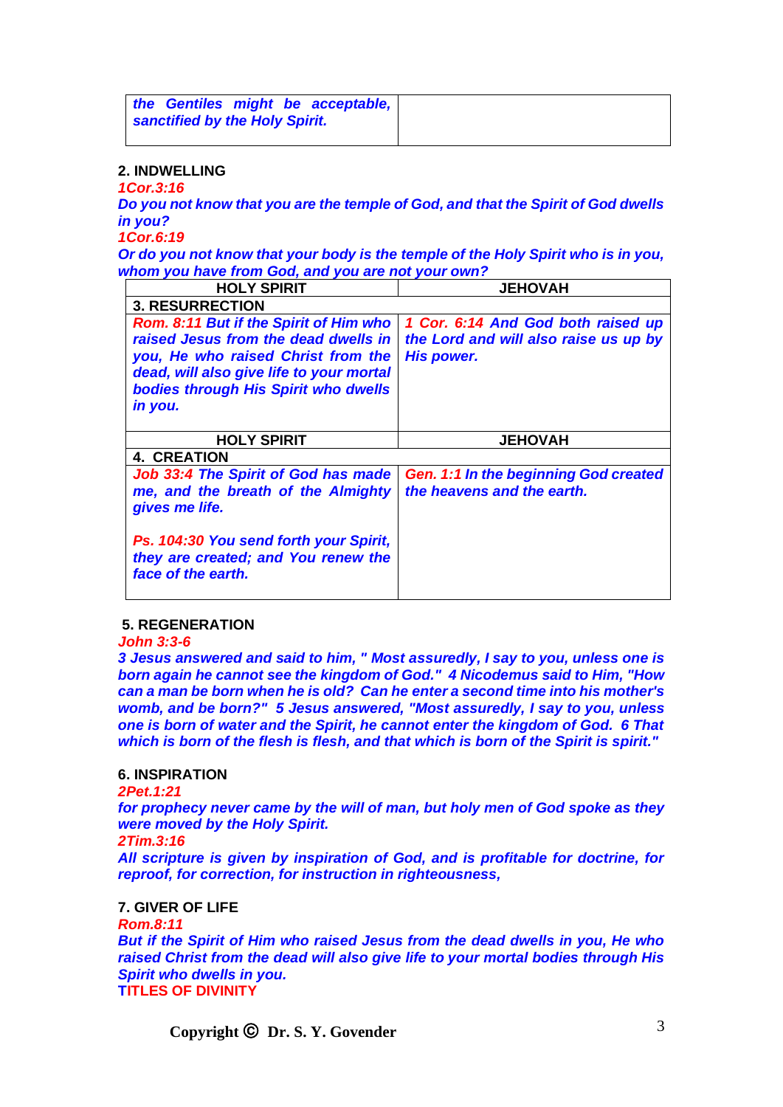| the Gentiles might be acceptable, |
|-----------------------------------|
| sanctified by the Holy Spirit.    |
|                                   |

## **2. INDWELLING**

*1Cor.3:16*

*Do you not know that you are the temple of God, and that the Spirit of God dwells in you?*

*1Cor.6:19*

*Or do you not know that your body is the temple of the Holy Spirit who is in you, whom you have from God, and you are not your own?*

| <b>HOLY SPIRIT</b>                                                                                                                                                                                                  | <b>JEHOVAH</b>                                                                            |
|---------------------------------------------------------------------------------------------------------------------------------------------------------------------------------------------------------------------|-------------------------------------------------------------------------------------------|
| <b>3. RESURRECTION</b>                                                                                                                                                                                              |                                                                                           |
| Rom. 8:11 But if the Spirit of Him who<br>raised Jesus from the dead dwells in<br>you, He who raised Christ from the<br>dead, will also give life to your mortal<br>bodies through His Spirit who dwells<br>in you. | 1 Cor. 6:14 And God both raised up<br>the Lord and will also raise us up by<br>His power. |
| <b>HOLY SPIRIT</b>                                                                                                                                                                                                  | <b>JEHOVAH</b>                                                                            |
| <b>4. CREATION</b>                                                                                                                                                                                                  |                                                                                           |
| <b>Job 33:4 The Spirit of God has made</b><br>me, and the breath of the Almighty<br>gives me life.                                                                                                                  | <b>Gen. 1:1 In the beginning God created</b><br>the heavens and the earth.                |
| Ps. 104:30 You send forth your Spirit,<br>they are created; and You renew the<br>face of the earth.                                                                                                                 |                                                                                           |

### **5. REGENERATION**

*John 3:3-6*

*3 Jesus answered and said to him, " Most assuredly, I say to you, unless one is born again he cannot see the kingdom of God." 4 Nicodemus said to Him, "How can a man be born when he is old? Can he enter a second time into his mother's womb, and be born?" 5 Jesus answered, "Most assuredly, I say to you, unless one is born of water and the Spirit, he cannot enter the kingdom of God. 6 That which is born of the flesh is flesh, and that which is born of the Spirit is spirit."*

# **6. INSPIRATION**

*2Pet.1:21*

*for prophecy never came by the will of man, but holy men of God spoke as they were moved by the Holy Spirit.*

*2Tim.3:16*

*All scripture is given by inspiration of God, and is profitable for doctrine, for reproof, for correction, for instruction in righteousness,*

## **7. GIVER OF LIFE**

*Rom.8:11*

*But if the Spirit of Him who raised Jesus from the dead dwells in you, He who raised Christ from the dead will also give life to your mortal bodies through His Spirit who dwells in you.* **TITLES OF DIVINITY**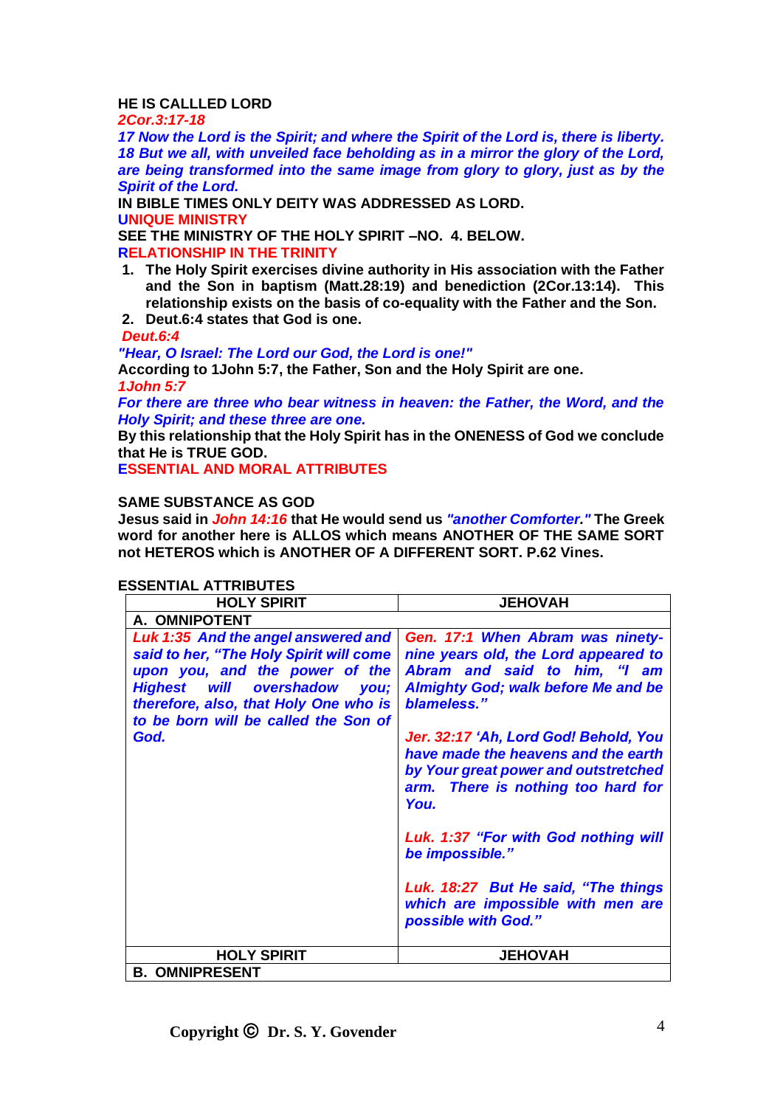# **HE IS CALLLED LORD**

*2Cor.3:17-18*

*17 Now the Lord is the Spirit; and where the Spirit of the Lord is, there is liberty. 18 But we all, with unveiled face beholding as in a mirror the glory of the Lord, are being transformed into the same image from glory to glory, just as by the Spirit of the Lord.*

**IN BIBLE TIMES ONLY DEITY WAS ADDRESSED AS LORD. UNIQUE MINISTRY**

**SEE THE MINISTRY OF THE HOLY SPIRIT –NO. 4. BELOW. RELATIONSHIP IN THE TRINITY**

**1. The Holy Spirit exercises divine authority in His association with the Father and the Son in baptism (Matt.28:19) and benediction (2Cor.13:14). This relationship exists on the basis of co-equality with the Father and the Son.**

# **2. Deut.6:4 states that God is one.**

## *Deut.6:4*

*"Hear, O Israel: The Lord our God, the Lord is one!"* **According to 1John 5:7, the Father, Son and the Holy Spirit are one.** *1John 5:7*

*For there are three who bear witness in heaven: the Father, the Word, and the Holy Spirit; and these three are one.*

**By this relationship that the Holy Spirit has in the ONENESS of God we conclude that He is TRUE GOD.**

**ESSENTIAL AND MORAL ATTRIBUTES**

# **SAME SUBSTANCE AS GOD**

**Jesus said in** *John 14:16* **that He would send us** *"another Comforter."* **The Greek word for another here is ALLOS which means ANOTHER OF THE SAME SORT not HETEROS which is ANOTHER OF A DIFFERENT SORT. P.62 Vines.**

# **ESSENTIAL ATTRIBUTES**

| <b>HOLY SPIRIT</b>                                                                                                                                                                                                                                  | <b>JEHOVAH</b>                                                                                                                                                                                                                                                                                                                                                                                                                                                                                            |
|-----------------------------------------------------------------------------------------------------------------------------------------------------------------------------------------------------------------------------------------------------|-----------------------------------------------------------------------------------------------------------------------------------------------------------------------------------------------------------------------------------------------------------------------------------------------------------------------------------------------------------------------------------------------------------------------------------------------------------------------------------------------------------|
| A. OMNIPOTENT                                                                                                                                                                                                                                       |                                                                                                                                                                                                                                                                                                                                                                                                                                                                                                           |
| Luk 1:35 And the angel answered and<br>said to her, "The Holy Spirit will come<br>upon you, and the power of the<br><b>Highest will overshadow</b><br>you;<br>therefore, also, that Holy One who is<br>to be born will be called the Son of<br>God. | Gen. 17:1 When Abram was ninety-<br>nine years old, the Lord appeared to<br>Abram and said to him, "I am<br><b>Almighty God; walk before Me and be</b><br>blameless."<br>Jer. 32:17 'Ah, Lord God! Behold, You<br>have made the heavens and the earth<br>by Your great power and outstretched<br>arm. There is nothing too hard for<br>You.<br>Luk. 1:37 "For with God nothing will<br>be impossible."<br>Luk. 18:27 But He said, "The things<br>which are impossible with men are<br>possible with God." |
|                                                                                                                                                                                                                                                     |                                                                                                                                                                                                                                                                                                                                                                                                                                                                                                           |
| <b>HOLY SPIRIT</b>                                                                                                                                                                                                                                  | <b>JEHOVAH</b>                                                                                                                                                                                                                                                                                                                                                                                                                                                                                            |
| <b>B. OMNIPRESENT</b>                                                                                                                                                                                                                               |                                                                                                                                                                                                                                                                                                                                                                                                                                                                                                           |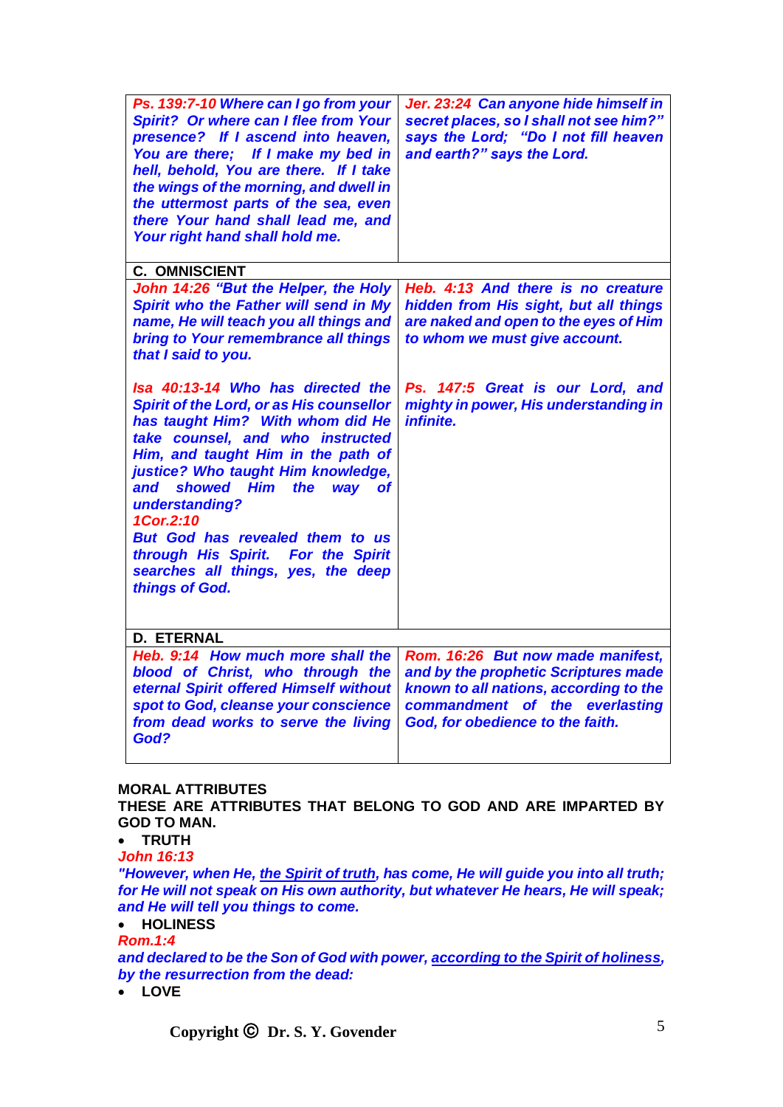| Ps. 139:7-10 Where can I go from your<br>Spirit? Or where can I flee from Your<br>presence? If I ascend into heaven,<br>You are there; If I make my bed in<br>hell, behold, You are there. If I take<br>the wings of the morning, and dwell in<br>the uttermost parts of the sea, even<br>there Your hand shall lead me, and<br>Your right hand shall hold me.                                                                                           | Jer. 23:24 Can anyone hide himself in<br>secret places, so I shall not see him?"<br>says the Lord; "Do I not fill heaven<br>and earth?" says the Lord.                                    |
|----------------------------------------------------------------------------------------------------------------------------------------------------------------------------------------------------------------------------------------------------------------------------------------------------------------------------------------------------------------------------------------------------------------------------------------------------------|-------------------------------------------------------------------------------------------------------------------------------------------------------------------------------------------|
| <b>C. OMNISCIENT</b>                                                                                                                                                                                                                                                                                                                                                                                                                                     |                                                                                                                                                                                           |
| John 14:26 "But the Helper, the Holy<br>Spirit who the Father will send in My<br>name, He will teach you all things and<br>bring to Your remembrance all things<br>that I said to you.                                                                                                                                                                                                                                                                   | Heb. 4:13 And there is no creature<br>hidden from His sight, but all things<br>are naked and open to the eyes of Him<br>to whom we must give account.                                     |
| Isa 40:13-14 Who has directed the<br><b>Spirit of the Lord, or as His counsellor</b><br>has taught Him? With whom did He<br>take counsel, and who instructed<br>Him, and taught Him in the path of<br>justice? Who taught Him knowledge,<br>showed Him<br>the<br>and<br>way<br><b>of</b><br>understanding?<br>1Cor.2:10<br>But God has revealed them to us<br>through His Spirit. For the Spirit<br>searches all things, yes, the deep<br>things of God. | Ps. 147:5 Great is our Lord, and<br>mighty in power, His understanding in<br><i>infinite.</i>                                                                                             |
| <b>D. ETERNAL</b>                                                                                                                                                                                                                                                                                                                                                                                                                                        |                                                                                                                                                                                           |
| Heb. 9:14 How much more shall the<br>blood of Christ, who through the<br>eternal Spirit offered Himself without<br>spot to God, cleanse your conscience<br>from dead works to serve the living<br>God?                                                                                                                                                                                                                                                   | Rom. 16:26 But now made manifest,<br>and by the prophetic Scriptures made<br>known to all nations, according to the<br>commandment of the everlasting<br>God, for obedience to the faith. |

# **MORAL ATTRIBUTES**

**THESE ARE ATTRIBUTES THAT BELONG TO GOD AND ARE IMPARTED BY GOD TO MAN.**

• **TRUTH**

*John 16:13*

*"However, when He, the Spirit of truth, has come, He will guide you into all truth; for He will not speak on His own authority, but whatever He hears, He will speak; and He will tell you things to come.*

#### • **HOLINESS** *Rom.1:4*

*and declared to be the Son of God with power, according to the Spirit of holiness, by the resurrection from the dead:*

# • **LOVE**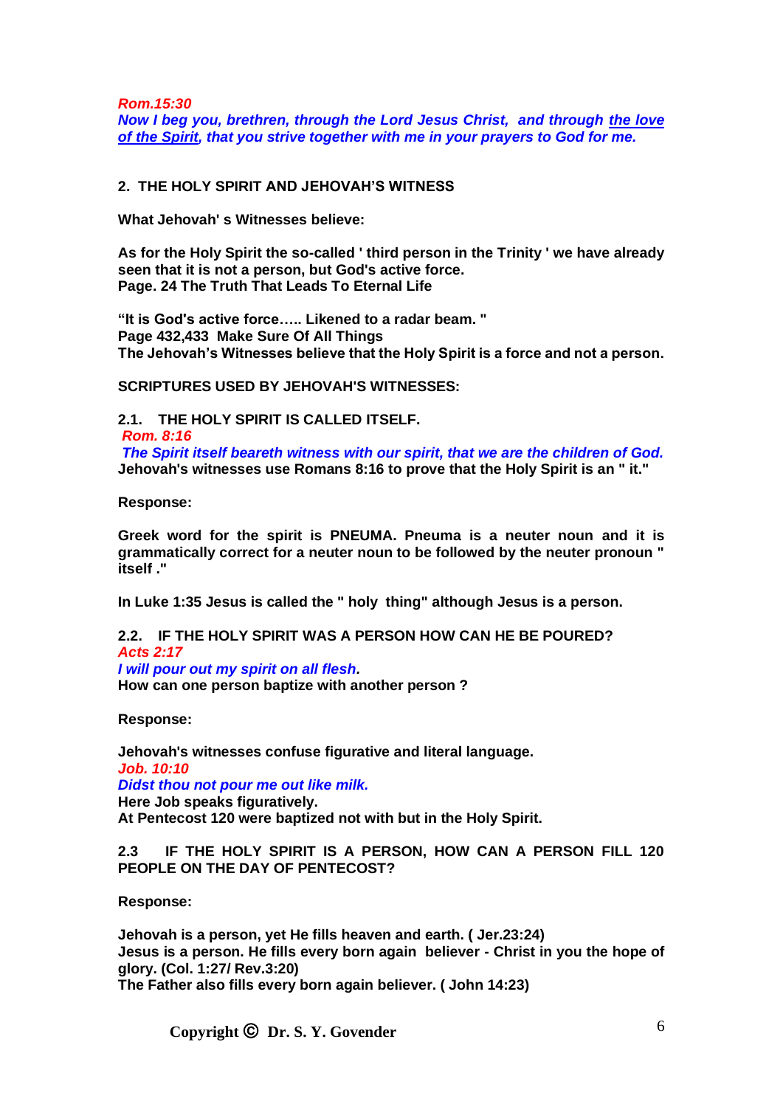*Rom.15:30 Now I beg you, brethren, through the Lord Jesus Christ, and through the love of the Spirit, that you strive together with me in your prayers to God for me.*

## **2. THE HOLY SPIRIT AND JEHOVAH'S WITNESS**

**What Jehovah' s Witnesses believe:**

**As for the Holy Spirit the so-called ' third person in the Trinity ' we have already seen that it is not a person, but God's active force. Page. 24 The Truth That Leads To Eternal Life**

**"It is God's active force….. Likened to a radar beam. " Page 432,433 Make Sure Of All Things The Jehovah's Witnesses believe that the Holy Spirit is a force and not a person.**

**SCRIPTURES USED BY JEHOVAH'S WITNESSES:**

**2.1. THE HOLY SPIRIT IS CALLED ITSELF.** *Rom. 8:16 The Spirit itself beareth witness with our spirit, that we are the children of God.* **Jehovah's witnesses use Romans 8:16 to prove that the Holy Spirit is an " it."**

**Response:** 

**Greek word for the spirit is PNEUMA. Pneuma is a neuter noun and it is grammatically correct for a neuter noun to be followed by the neuter pronoun " itself ."**

**In Luke 1:35 Jesus is called the " holy thing" although Jesus is a person.**

**2.2. IF THE HOLY SPIRIT WAS A PERSON HOW CAN HE BE POURED?** *Acts 2:17 I will pour out my spirit on all flesh.* **How can one person baptize with another person ?**

**Response:** 

**Jehovah's witnesses confuse figurative and literal language.** *Job. 10:10 Didst thou not pour me out like milk.* **Here Job speaks figuratively. At Pentecost 120 were baptized not with but in the Holy Spirit.**

**2.3 IF THE HOLY SPIRIT IS A PERSON, HOW CAN A PERSON FILL 120 PEOPLE ON THE DAY OF PENTECOST?**

**Response:** 

**Jehovah is a person, yet He fills heaven and earth. ( Jer.23:24) Jesus is a person. He fills every born again believer - Christ in you the hope of glory. (Col. 1:27/ Rev.3:20) The Father also fills every born again believer. ( John 14:23)**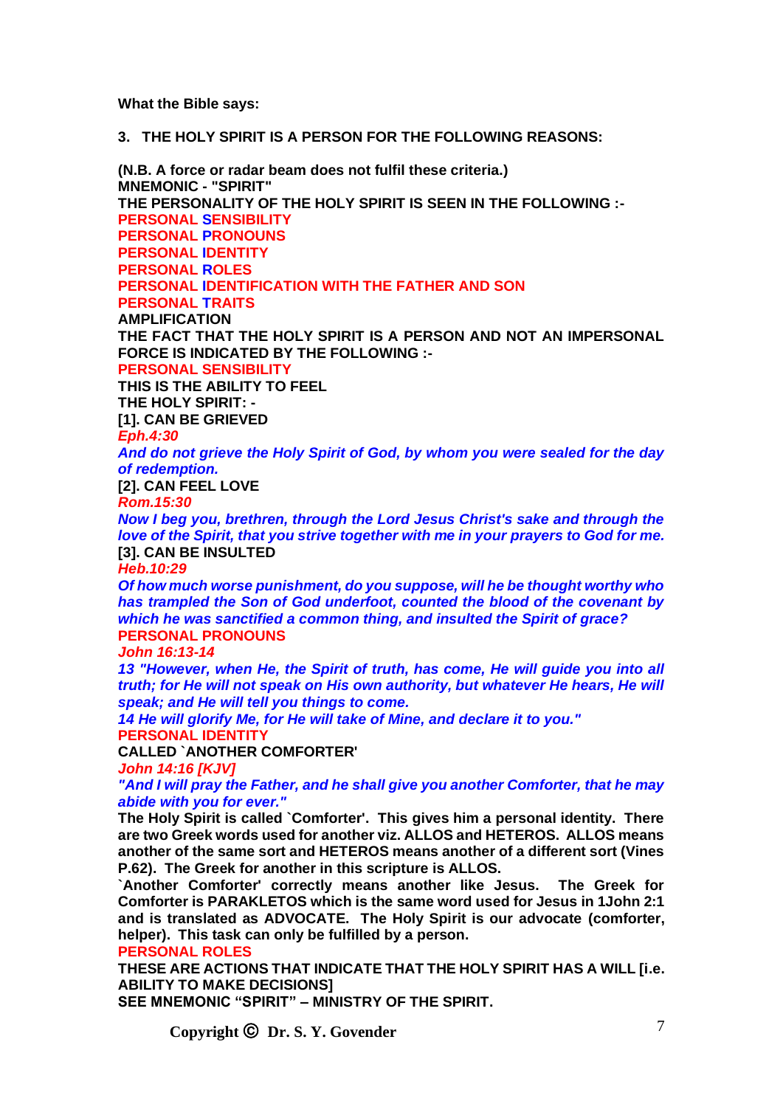**What the Bible says:**

#### **3. THE HOLY SPIRIT IS A PERSON FOR THE FOLLOWING REASONS:**

**(N.B. A force or radar beam does not fulfil these criteria.) MNEMONIC - "SPIRIT" THE PERSONALITY OF THE HOLY SPIRIT IS SEEN IN THE FOLLOWING :- PERSONAL SENSIBILITY PERSONAL PRONOUNS PERSONAL IDENTITY PERSONAL ROLES PERSONAL IDENTIFICATION WITH THE FATHER AND SON PERSONAL TRAITS AMPLIFICATION THE FACT THAT THE HOLY SPIRIT IS A PERSON AND NOT AN IMPERSONAL FORCE IS INDICATED BY THE FOLLOWING :- PERSONAL SENSIBILITY THIS IS THE ABILITY TO FEEL THE HOLY SPIRIT: - [1]. CAN BE GRIEVED** *Eph.4:30 And do not grieve the Holy Spirit of God, by whom you were sealed for the day of redemption.* **[2]. CAN FEEL LOVE** *Rom.15:30 Now I beg you, brethren, through the Lord Jesus Christ's sake and through the love of the Spirit, that you strive together with me in your prayers to God for me.* **[3]. CAN BE INSULTED** *Heb.10:29 Of how much worse punishment, do you suppose, will he be thought worthy who has trampled the Son of God underfoot, counted the blood of the covenant by which he was sanctified a common thing, and insulted the Spirit of grace?* **PERSONAL PRONOUNS** *John 16:13-14 13 "However, when He, the Spirit of truth, has come, He will guide you into all truth; for He will not speak on His own authority, but whatever He hears, He will speak; and He will tell you things to come. 14 He will glorify Me, for He will take of Mine, and declare it to you."* **PERSONAL IDENTITY CALLED `ANOTHER COMFORTER'** *John 14:16 [KJV]*

*"And I will pray the Father, and he shall give you another Comforter, that he may abide with you for ever."*

**The Holy Spirit is called `Comforter'. This gives him a personal identity. There are two Greek words used for another viz. ALLOS and HETEROS. ALLOS means another of the same sort and HETEROS means another of a different sort (Vines P.62). The Greek for another in this scripture is ALLOS.**

**`Another Comforter' correctly means another like Jesus. The Greek for Comforter is PARAKLETOS which is the same word used for Jesus in 1John 2:1 and is translated as ADVOCATE. The Holy Spirit is our advocate (comforter, helper). This task can only be fulfilled by a person.**

#### **PERSONAL ROLES**

**THESE ARE ACTIONS THAT INDICATE THAT THE HOLY SPIRIT HAS A WILL [i.e. ABILITY TO MAKE DECISIONS]**

**SEE MNEMONIC "SPIRIT" – MINISTRY OF THE SPIRIT.**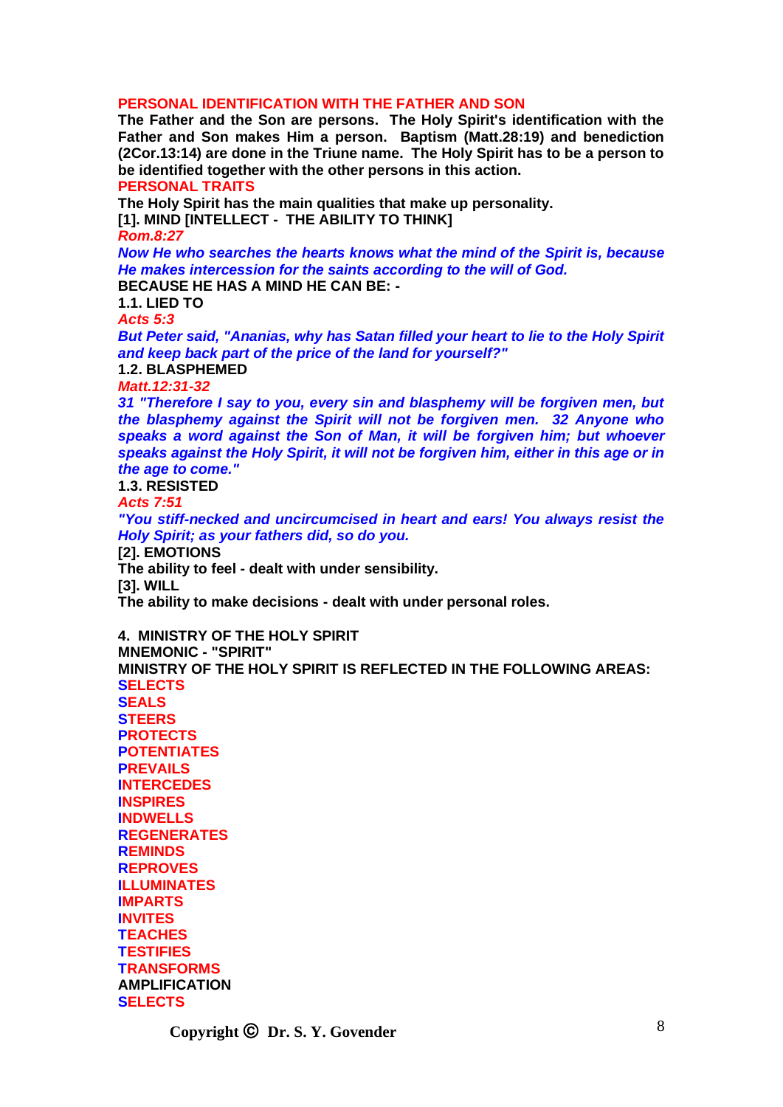#### **PERSONAL IDENTIFICATION WITH THE FATHER AND SON**

**The Father and the Son are persons. The Holy Spirit's identification with the Father and Son makes Him a person. Baptism (Matt.28:19) and benediction (2Cor.13:14) are done in the Triune name. The Holy Spirit has to be a person to be identified together with the other persons in this action.**

**PERSONAL TRAITS**

**The Holy Spirit has the main qualities that make up personality.**

**[1]. MIND [INTELLECT - THE ABILITY TO THINK]**

*Rom.8:27*

*Now He who searches the hearts knows what the mind of the Spirit is, because He makes intercession for the saints according to the will of God.* **BECAUSE HE HAS A MIND HE CAN BE: -**

**1.1. LIED TO**

*Acts 5:3*

*But Peter said, "Ananias, why has Satan filled your heart to lie to the Holy Spirit and keep back part of the price of the land for yourself?"*

**1.2. BLASPHEMED**

*Matt.12:31-32*

*31 "Therefore I say to you, every sin and blasphemy will be forgiven men, but the blasphemy against the Spirit will not be forgiven men. 32 Anyone who speaks a word against the Son of Man, it will be forgiven him; but whoever speaks against the Holy Spirit, it will not be forgiven him, either in this age or in the age to come."*

**1.3. RESISTED**

*Acts 7:51*

*"You stiff-necked and uncircumcised in heart and ears! You always resist the Holy Spirit; as your fathers did, so do you.*

**[2]. EMOTIONS**

**The ability to feel - dealt with under sensibility. [3]. WILL**

**The ability to make decisions - dealt with under personal roles.**

**4. MINISTRY OF THE HOLY SPIRIT MNEMONIC - "SPIRIT" MINISTRY OF THE HOLY SPIRIT IS REFLECTED IN THE FOLLOWING AREAS: SELECTS SEALS STEERS PROTECTS POTENTIATES PREVAILS INTERCEDES INSPIRES INDWELLS REGENERATES REMINDS REPROVES ILLUMINATES IMPARTS INVITES TEACHES TESTIFIES TRANSFORMS AMPLIFICATION SELECTS**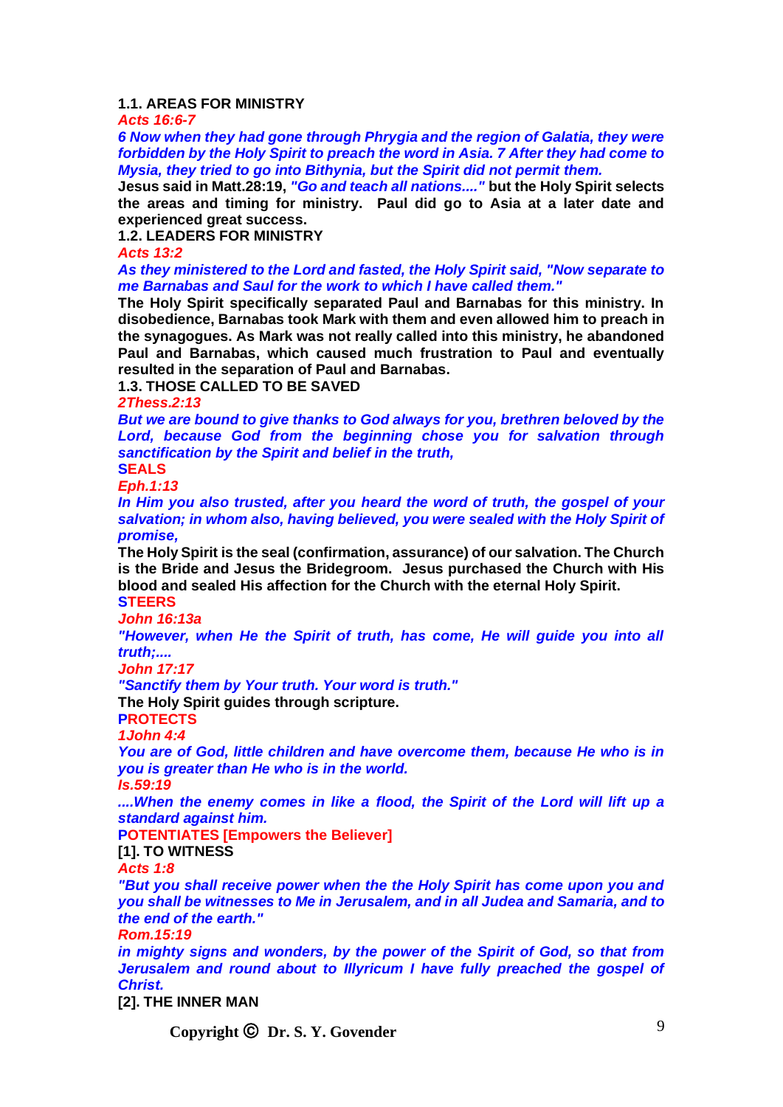### **1.1. AREAS FOR MINISTRY**

*Acts 16:6-7*

*6 Now when they had gone through Phrygia and the region of Galatia, they were forbidden by the Holy Spirit to preach the word in Asia. 7 After they had come to Mysia, they tried to go into Bithynia, but the Spirit did not permit them.*

**Jesus said in Matt.28:19,** *"Go and teach all nations...."* **but the Holy Spirit selects the areas and timing for ministry. Paul did go to Asia at a later date and experienced great success.**

**1.2. LEADERS FOR MINISTRY**

*Acts 13:2*

*As they ministered to the Lord and fasted, the Holy Spirit said, "Now separate to me Barnabas and Saul for the work to which I have called them."*

**The Holy Spirit specifically separated Paul and Barnabas for this ministry. In disobedience, Barnabas took Mark with them and even allowed him to preach in the synagogues. As Mark was not really called into this ministry, he abandoned Paul and Barnabas, which caused much frustration to Paul and eventually resulted in the separation of Paul and Barnabas.**

**1.3. THOSE CALLED TO BE SAVED**

*2Thess.2:13*

*But we are bound to give thanks to God always for you, brethren beloved by the Lord, because God from the beginning chose you for salvation through sanctification by the Spirit and belief in the truth,*

**SEALS** *Eph.1:13*

*In Him you also trusted, after you heard the word of truth, the gospel of your salvation; in whom also, having believed, you were sealed with the Holy Spirit of promise,*

**The Holy Spirit is the seal (confirmation, assurance) of our salvation. The Church is the Bride and Jesus the Bridegroom. Jesus purchased the Church with His blood and sealed His affection for the Church with the eternal Holy Spirit. STEERS**

*John 16:13a*

*"However, when He the Spirit of truth, has come, He will guide you into all truth;....* 

*John 17:17*

*"Sanctify them by Your truth. Your word is truth."*

**The Holy Spirit guides through scripture.**

**PROTECTS**

*1John 4:4*

*You are of God, little children and have overcome them, because He who is in you is greater than He who is in the world.*

*Is.59:19*

*....When the enemy comes in like a flood, the Spirit of the Lord will lift up a standard against him.*

**POTENTIATES [Empowers the Believer]**

**[1]. TO WITNESS**

*Acts 1:8*

*"But you shall receive power when the the Holy Spirit has come upon you and you shall be witnesses to Me in Jerusalem, and in all Judea and Samaria, and to the end of the earth."*

*Rom.15:19*

*in mighty signs and wonders, by the power of the Spirit of God, so that from*  Jerusalem and round about to Illyricum I have fully preached the gospel of *Christ.*

**[2]. THE INNER MAN**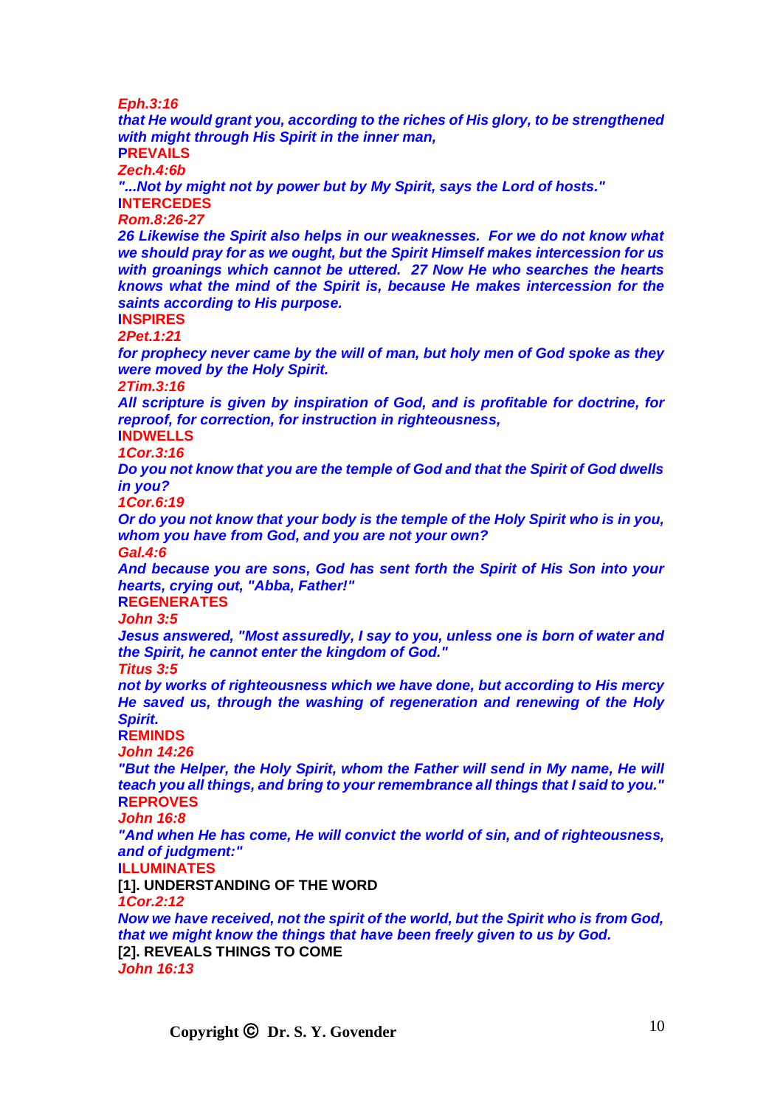*Eph.3:16*

*that He would grant you, according to the riches of His glory, to be strengthened with might through His Spirit in the inner man,* **PREVAILS** *Zech.4:6b "...Not by might not by power but by My Spirit, says the Lord of hosts."* **INTERCEDES** *Rom.8:26-27 26 Likewise the Spirit also helps in our weaknesses. For we do not know what we should pray for as we ought, but the Spirit Himself makes intercession for us with groanings which cannot be uttered. 27 Now He who searches the hearts knows what the mind of the Spirit is, because He makes intercession for the saints according to His purpose.* **INSPIRES** *2Pet.1:21 for prophecy never came by the will of man, but holy men of God spoke as they were moved by the Holy Spirit. 2Tim.3:16 All scripture is given by inspiration of God, and is profitable for doctrine, for reproof, for correction, for instruction in righteousness,* **INDWELLS** *1Cor.3:16 Do you not know that you are the temple of God and that the Spirit of God dwells in you? 1Cor.6:19 Or do you not know that your body is the temple of the Holy Spirit who is in you, whom you have from God, and you are not your own? Gal.4:6 And because you are sons, God has sent forth the Spirit of His Son into your hearts, crying out, "Abba, Father!"* **REGENERATES** *John 3:5 Jesus answered, "Most assuredly, I say to you, unless one is born of water and the Spirit, he cannot enter the kingdom of God." Titus 3:5 not by works of righteousness which we have done, but according to His mercy He saved us, through the washing of regeneration and renewing of the Holy Spirit.* **REMINDS** *John 14:26* **"But the Helper, the Holy Spirit, whom the Father will send in My name, He will** *teach you all things, and bring to your remembrance all things that I said to you."* **REPROVES** *John 16:8 "And when He has come, He will convict the world of sin, and of righteousness, and of judgment:"* **ILLUMINATES [1]. UNDERSTANDING OF THE WORD** *1Cor.2:12 Now we have received, not the spirit of the world, but the Spirit who is from God, that we might know the things that have been freely given to us by God.* **[2]. REVEALS THINGS TO COME** *John 16:13*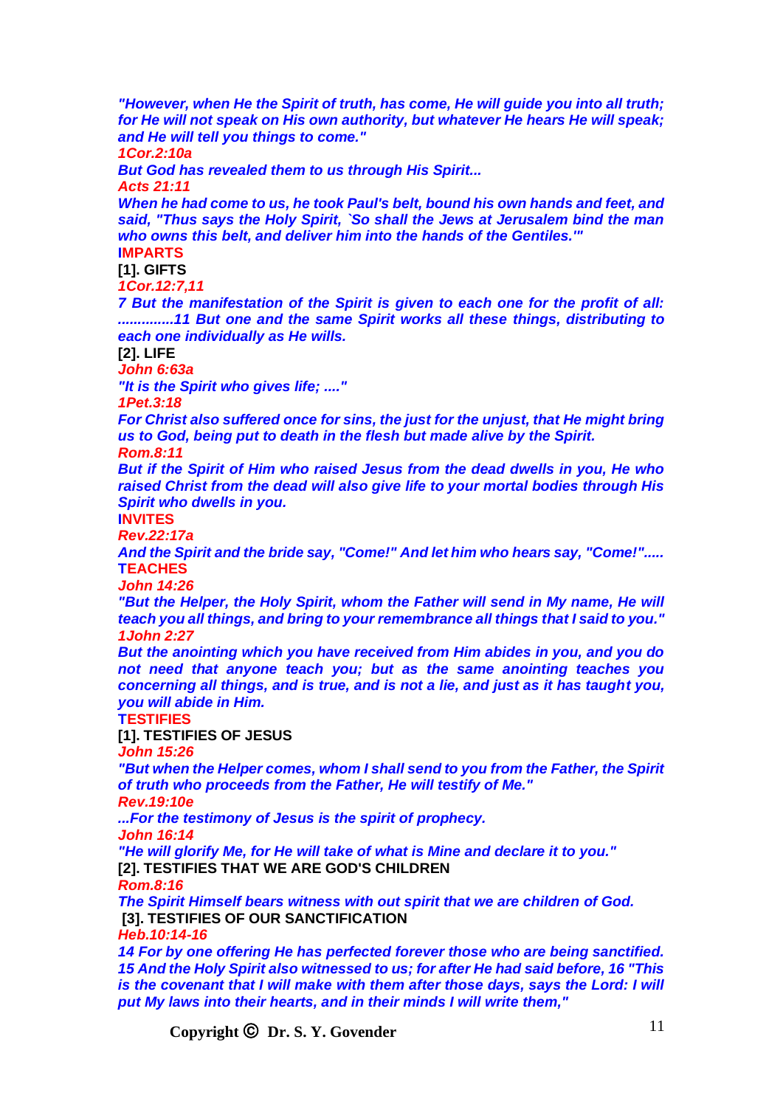*"However, when He the Spirit of truth, has come, He will guide you into all truth; for He will not speak on His own authority, but whatever He hears He will speak; and He will tell you things to come." 1Cor.2:10a But God has revealed them to us through His Spirit... Acts 21:11 When he had come to us, he took Paul's belt, bound his own hands and feet, and said, "Thus says the Holy Spirit, `So shall the Jews at Jerusalem bind the man who owns this belt, and deliver him into the hands of the Gentiles.'"* **IMPARTS [1]. GIFTS** *1Cor.12:7,11 7 But the manifestation of the Spirit is given to each one for the profit of all: ..............11 But one and the same Spirit works all these things, distributing to each one individually as He wills.* **[2]. LIFE** *John 6:63a "It is the Spirit who gives life; ...." 1Pet.3:18 For Christ also suffered once for sins, the just for the unjust, that He might bring us to God, being put to death in the flesh but made alive by the Spirit. Rom.8:11 But if the Spirit of Him who raised Jesus from the dead dwells in you, He who raised Christ from the dead will also give life to your mortal bodies through His Spirit who dwells in you.* **INVITES** *Rev.22:17a And the Spirit and the bride say, "Come!" And let him who hears say, "Come!".....* **TEACHES** *John 14:26* **"But the Helper, the Holy Spirit, whom the Father will send in My name, He will** *teach you all things, and bring to your remembrance all things that I said to you." 1John 2:27 But the anointing which you have received from Him abides in you, and you do not need that anyone teach you; but as the same anointing teaches you concerning all things, and is true, and is not a lie, and just as it has taught you, you will abide in Him.* **TESTIFIES [1]. TESTIFIES OF JESUS** *John 15:26 "But when the Helper comes, whom I shall send to you from the Father, the Spirit of truth who proceeds from the Father, He will testify of Me." Rev.19:10e ...For the testimony of Jesus is the spirit of prophecy. John 16:14 "He will glorify Me, for He will take of what is Mine and declare it to you."* **[2]. TESTIFIES THAT WE ARE GOD'S CHILDREN** *Rom.8:16 The Spirit Himself bears witness with out spirit that we are children of God.* **[3]. TESTIFIES OF OUR SANCTIFICATION** *Heb.10:14-16 14 For by one offering He has perfected forever those who are being sanctified. 15 And the Holy Spirit also witnessed to us; for after He had said before, 16 "This is the covenant that I will make with them after those days, says the Lord: I will put My laws into their hearts, and in their minds I will write them,"*